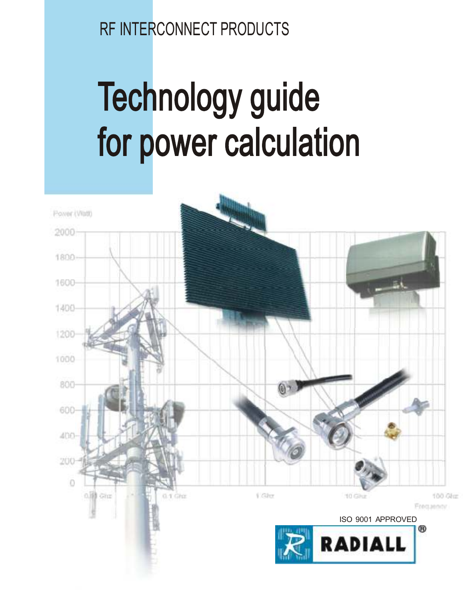# **RF INTERCONNECT PRODUCTS**

# Technology guide for power calculation

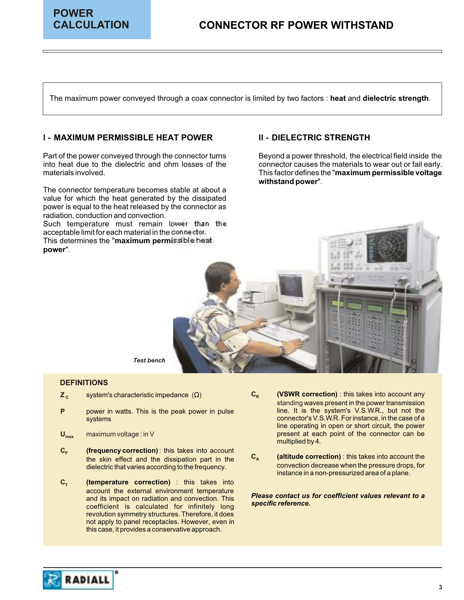

The maximum power conveyed through a coax connector is limited by two factors : **heat** and **dielectric strength**.

#### **I - MAXIMUM PERMISSIBLE HEAT POWER II - DIELECTRIC STRENGTH**

The connector temperature becomes stable at about a value for which the heat generated by the dissipated power is equal to the heat released by the connector as radiation, conduction and convection.

Such temperature must remain lower than the acceptable limit for each material in the connector. This determines the "**maximum permissible heat** 

**power**".

Part of the power conveyed through the connector turns Beyond a power threshold, the electrical field inside the<br>
into heat due to the dielectric and ohm losses of the connector causes the materials to wear out or fail ear connector causes the materials to wear out or fail early. materials involved. This factor defines the "**maximum permissible voltage withstand power**".



*Test bench*

#### **DEFINITIONS**

- $Z_c$ system's characteristic impedance () C<sub>R</sub>
- **P**
- **Umax** maximum voltage : in V
- $C$ **F (frequency correction)**: this takes into account dielectric that varies according to the frequency.
- $C_T$ **(temperature correction)** : this takes into account the external environment temperature<br>and its impact on radiation and convection. This<br>coefficient is calculated for infinitely long specific reference. revolution symmetry structures. Therefore, it does not apply to panel receptacles. However, even in this case, it provides a conservative approach.
- (VSWR correction) : this takes into account any standing waves present in the power transmission power in watts. This is the peak power in pulse line. It is the system's V.S.W.R., but not the systems connector's V.S.W.R. For instance, in the case of a line operating in open or short circuit, the power present at each point of the connector can be multiplied by 4.
- **C<sup>A</sup> the skin effect and the dissipation part in the C<sub>A</sub> (altitude correction)**: this takes into account the dielectric that varies according to the frequency convection decrease when the pressure drops, for instance in a non-pressurized area of a plane.

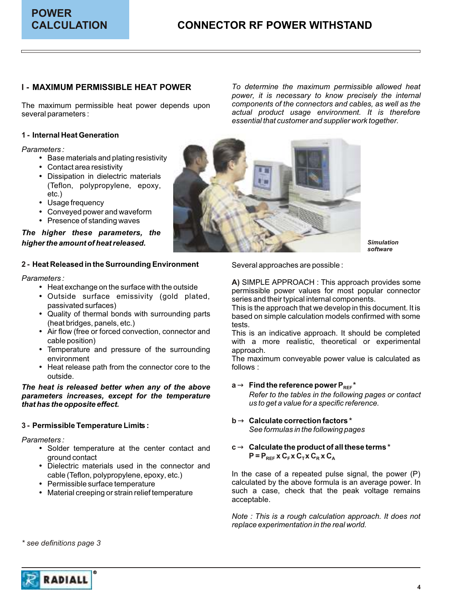#### **I - MAXIMUM PERMISSIBLE HEAT POWER**

several parameters : *actual product usage environment. It is therefore* 

#### **1 - Internal Heat Generation**

*Parameters :*

- · Base materials and plating resistivity
- · Contact area resistivity
- · Dissipation in dielectric materials (Teflon, polypropylene, epoxy, etc.)
- · Usage frequency
- · Conveyed power and waveform
- · Presence of standing waves

#### *The higher these parameters, the higher the amount of heat released.*

#### **2 - Heat Released in the Surrounding Environment** Several approaches are possible :

- 
- Outside surface emissivity (gold plated, passivated surfaces)
- (heat bridges, panels, etc.)<br>• Air flow (free or forced convection, connector and
- 
- Temperature and pressure of the surrounding approach.
- Heat release path from the connector core to the follows : outside.

*parameters increases, except for the temperature that has the opposite effect. us to get a value for a specific reference.*

*Parameters :*

- Solder temperature at the center contact and ground contact
- Dielectric materials used in the connector and cable (Teflon, polypropylene, epoxy, etc.)
- 
- 

**MAXIMUM PERMISSIBLE HEAT POWER** *To determine the maximum permissible allowed heat power, it is necessary to know precisely the internal*  The maximum permissible heat power depends upon *components of the connectors and cables, as well as the essential that customer and supplier work together.*



*Simulation software*

Parameters :<br> **A)** SIMPLE APPROACH : This approach provides some<br> **A)** SIMPLE APPROACH : This approach provides some • Heat exchange on the surface with the outside<br>• Outside surface emissivity (gold plated,<br>• Outside surface emissivity (gold plated,<br>series and their typical internal components.

passivated surfaces)<br>Cuality of thermal bonds with surrounding parts based on simple calculation models confirmed with some based on simple calculation models confirmed with some<br>tests.

Air flow (free or forced convection, connector and This is an indicative approach. It should be completed<br>cable position) with a more realistic, theoretical or experimental with a more realistic, theoretical or experimental

environment **The maximum conveyable power value is calculated as a set of the maximum conveyable power value is calculated as** 

- **a** Find the reference power  $P_{RFF}$ <sup>\*</sup> **The heat is released better when any of the above and a Find the reference power P<sub>REF</sub><br><b>parameters increases, except for the temperature** and *Refer to the tables in the following pages or contact*
- **b** Calculate correction factors \* **3 - Calculate correction factors Permissible Temperature Limits :** *See formulas in the following pages*
	- c **Calculate the product of all these terms** \*  $P = P_{REF} \times C_F \times C_T \times C_R \times C_A$

cable (Teflon, polypropylene, epoxy, etc.) In the case of a repeated pulse signal, the power (P)<br>Calculated by the above formula is an average power. In calculated by the above formula is an average power. In calculated by the above formula is an average power. In • Material creeping or strain relief temperature such a case, check that the peak voltage remains acceptable.

> *Note : This is a rough calculation approach. It does not replace experimentation in the real world.*

*\* see definitions page 3*

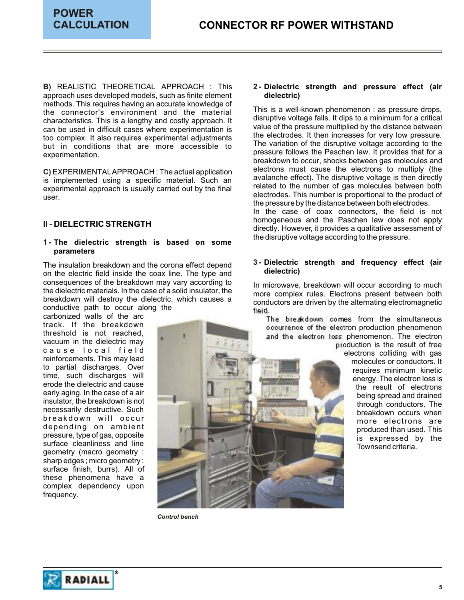**B)** REALISTIC THEORETICAL APPROACH : This approach uses developed models, such as finite element **dielectric)** methods. This requires having an accurate knowledge of This is a well-known phenomenon : as pressure drops,<br>the connector's environment and the material This is a well-known phenomenon : as pressure drops,<br>characteristics. This is a lengthy and costly approach it characteristics. This is a lengthy and costly approach. It all a disruptive voltage falls. It dips to a minimum for a critical care where experimentation is value of the pressure multiplied by the distance between can be used in difficult cases where experimentation is value of the pressure multiplied by the distance between can be used in difficult cases where experimentation is the electrodes. It then increases for very low pressu too complex. It also requires experimental adjustments and the electrodes. It then increases for very low pressure.<br>but in conditions, that are more accessible to The variation of the disruptive voltage according to the but in conditions that are more accessible to experimentation.

**C)** EXPERIMENTALAPPROACH: The actual application is implemented using a specific material. Such an avaianche effect). The disruptive voltage is then directly i<br>experimental approach is usually carried out by the final related to the number of gas molecules between both experimental approach is usually carried out by the final electrodes. This number is proportional to the product of user.

#### **II - DIELECTRIC STRENGTH**

#### **1 - The dielectric strength is based on some parameters**

The insulation breakdown and the corona effect depend<br>on the electric field inside the coax line. The type and **dielectric**) consequences of the breakdown may vary according to<br>
the dielectric materials. In the case of a solid insulator, the more complex rules. Electrons present between both<br>
breakdown will destroy the dielectric, which causes a breakdown will destroy the dielectric, which causes a conductors are driven by the alternating electromagnetic conductive path to occur along the

vacuum in the dielectric may<br>c a u s e l o c a l f i e l d<br>reinforcements. This may lead electrons colliding with gas<br>molecules or conductors. It<br>requires minimum kinetic to partial discharges. Over<br>time, such discharges will energy. The electron loss is<br>erode the dielectric and cause the specific structure of electron loss is erode the dielectric and cause the dielectric and cause the result of electrons being spread and drained insulator, the breakdown is not through conductors. The necessarily destructive. Such breakdown occurs when breakdown occurs when breakdown will occur breakdown will occur breakdown occurs when<br>depending on ambient produced than used. This depending on ambient pressure, type of gas, opposite produced than used. This is expressed by the surface cleanliness and line Townsend criteria. sharp edges ; micro geometry : surface finish, burrs). All of these phenomena have a complex dependency upon frequency.

## 2 - Dielectric strength and pressure effect (air

pressure follows the Paschen law. It provides that for a breakdown to occur, shocks between gas molecules and electrons must cause the electrons to multiply (the avalanche effect). The disruptive voltage is then directly the pressure by the distance between both electrodes. In the case of coax connectors, the field is not homogeneous and the Paschen law does not apply

directly. However, it provides a qualitative assessment of the disruptive voltage according to the pressure.

## The insulation breakdown and the corona effect depend **3 - Dielectric strength and frequency effect (air**

conductive path to occur along the field.<br>
carbonized walls of the arc The breakdown comes from the simultaneous<br>
the breakdown occurrence of the electron production phenomenon<br>
threshold is not reached. threshold is not reached,<br>vacuum in the dielectric may be a large structure of the electron loss phenomenon. The electron vacuum in the dielectric may



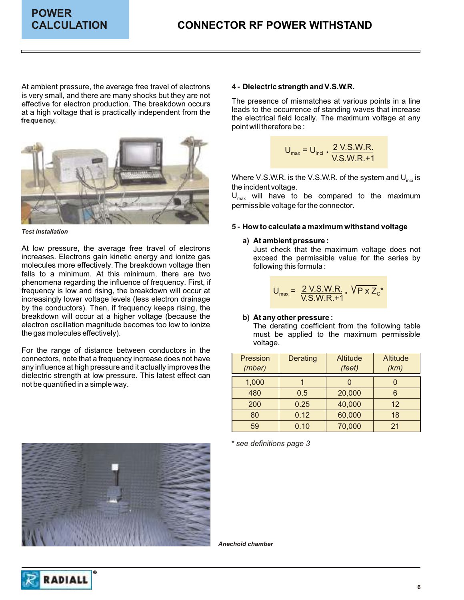At ambient pressure, the average free travel of electrons is very small, and there are many shocks but they are not The presence of mismatches at various points in a line<br>effective for electron production. The presence of mismatches at various points in a line<br>at a high voltage that is practically independent from the at a high voltage that is practically independent from the the electrical field locally. The maximum voltage at any frequency.



*Test installation*

At low pressure, the average free travel of electrons and in Just check that the maximum voltage does not increases. Electrons gain kinetic energy and ionize gas exceed the permissible value for the series by molecules more effectively. The breakdown voltage then following this formula : falls to a minimum. At this minimum, there are two phenomena regarding the influence of frequency. First, if frequency is low and rising, the breakdown will occur at increasingly lower voltage levels (less electron drainage by the conductors). Then, if frequency keeps rising, the breakdown will occur at a higher voltage (because the electron oscillation magnitude becomes too low to ionize electron oscillation magnitude becomes too low to ionize The derating coefficient from the following table<br>the gas molecules effectively).

For the range of distance between conductors in the connectors, note that a frequency increase does not have any influence at high pressure and it actually improves the dielectric strength at low pressure. This latest effect can not be quantified in a simple way.



#### **4 - Dielectric strength and V.S.W.R.**

point will therefore be :

$$
U_{\text{max}} = U_{\text{inci}} \cdot \frac{2 \text{ V.S.W.R.}}{\text{V.S.W.R.} + 1}
$$

Where V.S.W.R. is the V.S.W.R. of the system and  $\mathsf{U_{\mathsf{inci}}}\mathsf{is}\,$ the incident voltage.

 $U_{\text{max}}$  will have to be compared to the maximum permissible voltage for the connector.

#### **How to calculate a maximum withstand voltage 5 -**

#### **At ambient pressure : a)**

$$
U_{\text{max}} = \frac{2 \text{ V.S.W.R.}}{\text{V.S.W.R.} + 1} \cdot \sqrt{P \times Z_c}^*
$$

#### b) At any other pressure :

must be applied to the maximum permissible voltage.

| Pression<br>(mbar) | <b>Derating</b> | <b>Altitude</b><br>(feet) | <b>Altitude</b><br>(km) |
|--------------------|-----------------|---------------------------|-------------------------|
| 1,000              |                 |                           |                         |
| 480                | 0.5             | 20,000                    | 6                       |
| 200                | 0.25            | 40,000                    | 12                      |
| 80                 | 0.12            | 60,000                    | 18                      |
| 59                 | 0.10            | 70,000                    | 21                      |

*\* see definitions page 3*

*Anechoïd chamber*

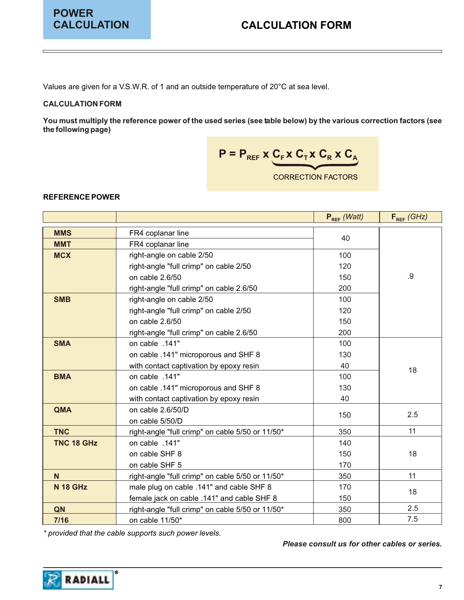Values are given for a V.S.W.R. of 1 and an outside temperature of 20°C at sea level.

#### **CALCULATION FORM**

**You must multiply the reference power of the used series (see table below) by the various correction factors (see the following page)**

$$
P = P_{\text{REF}} \times C_{\text{F}} \times C_{\text{T}} \times C_{\text{R}} \times C_{\text{A}}
$$

CORRECTION FACTORS

#### **REFERENCE POWER**

|                                 |                                                  | $P_{REF}$ (Watt) | $F_{REF}$ (GHz) |
|---------------------------------|--------------------------------------------------|------------------|-----------------|
| <b>MMS</b>                      | FR4 coplanar line                                |                  |                 |
| <b>MMT</b>                      | FR4 coplanar line                                | 40               |                 |
| <b>MCX</b>                      | right-angle on cable 2/50                        | 100              |                 |
|                                 | right-angle "full crimp" on cable 2/50           | 120              |                 |
|                                 | on cable 2.6/50                                  | 150              | .9              |
|                                 | right-angle "full crimp" on cable 2.6/50         | 200              |                 |
| <b>SMB</b>                      | right-angle on cable 2/50                        | 100              |                 |
|                                 | right-angle "full crimp" on cable 2/50           | 120              |                 |
|                                 | on cable 2.6/50                                  | 150              |                 |
|                                 | right-angle "full crimp" on cable 2.6/50         | 200              |                 |
| <b>SMA</b>                      | on cable .141"                                   | 100              |                 |
|                                 | on cable .141" microporous and SHF 8             | 130              |                 |
|                                 | with contact captivation by epoxy resin          | 40               | 18              |
| <b>BMA</b>                      | on cable .141"<br>100                            |                  |                 |
|                                 | on cable .141" microporous and SHF 8             | 130              |                 |
|                                 | with contact captivation by epoxy resin          | 40               |                 |
| <b>QMA</b><br>on cable 2.6/50/D |                                                  | 150              | 2.5             |
|                                 | on cable 5/50/D                                  |                  |                 |
| <b>TNC</b>                      | right-angle "full crimp" on cable 5/50 or 11/50* | 350              | 11              |
| TNC 18 GHz                      | on cable .141"                                   | 140              |                 |
|                                 | on cable SHF 8                                   | 150              | 18              |
|                                 | on cable SHF 5                                   | 170              |                 |
| N                               | right-angle "full crimp" on cable 5/50 or 11/50* | 350              | 11              |
| <b>N 18 GHz</b>                 | male plug on cable .141" and cable SHF 8         |                  | 18              |
|                                 | female jack on cable .141" and cable SHF 8       |                  |                 |
| QN                              | right-angle "full crimp" on cable 5/50 or 11/50* | 350              | 2.5             |
| $7/16$                          | on cable 11/50*                                  | 800              | 7.5             |

*\* provided that the cable supports such power levels.*

*Please consult us for other cables or series.*

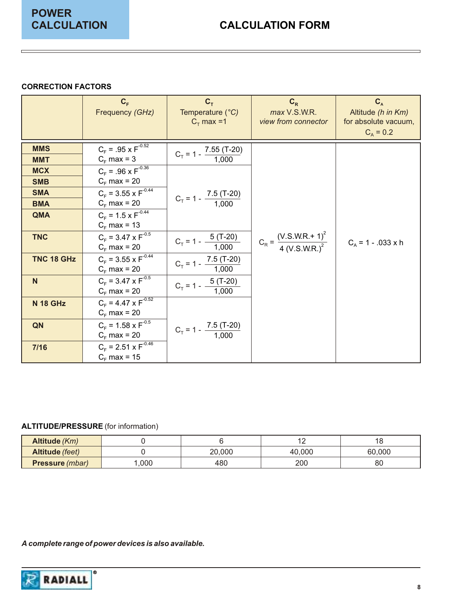#### **CORRECTION FACTORS**

|                 | $C_F$<br>Frequency (GHz)      | $C_T$<br>Temperature (°C)<br>$C_T$ max =1 | $C_R$<br>max V.S.W.R.<br>view from connector  | $C_{A}$<br>Altitude (h in Km)<br>for absolute vacuum, |
|-----------------|-------------------------------|-------------------------------------------|-----------------------------------------------|-------------------------------------------------------|
|                 |                               |                                           |                                               | $C_A = 0.2$                                           |
| <b>MMS</b>      | $C_F = .95 \times F^{-0.52}$  | $C_T$ = 1 - $\frac{7.55 (T-20)}{1,000}$   |                                               |                                                       |
| <b>MMT</b>      | $C_F$ max = 3                 |                                           |                                               |                                                       |
| <b>MCX</b>      | $C_F = .96 \times F^{-0.36}$  |                                           |                                               |                                                       |
| <b>SMB</b>      | $C_F$ max = 20                |                                           |                                               |                                                       |
| <b>SMA</b>      | $C_F = 3.55 \times F^{-0.44}$ | $C_T = 1 - \frac{7.5 (T-20)}{T}$          |                                               |                                                       |
| <b>BMA</b>      | $C_F$ max = 20                | 1,000                                     |                                               |                                                       |
| QMA             | $C_F = 1.5 \times F^{-0.44}$  |                                           |                                               |                                                       |
|                 | $C_F$ max = 13                |                                           |                                               |                                                       |
| <b>TNC</b>      | $C_F = 3.47 \times F^{-0.5}$  | $5($ T-20)<br>$C_T = 1 -$                 | $C_R = \frac{(V.S.W.R.+1)^2}{4 (V.S.W.R.)^2}$ |                                                       |
|                 | $C_F$ max = 20                | 1,000                                     |                                               | $C_A$ = 1 - .033 x h                                  |
| TNC 18 GHz      | $C_F = 3.55 \times F^{-0.44}$ | $C_T = 1 - \frac{7.5 (T-20)}{T}$          |                                               |                                                       |
|                 | $C_F$ max = 20                | 1,000                                     |                                               |                                                       |
| N               | $C_F = 3.47 \times F^{-0.5}$  | $5($ T-20)                                |                                               |                                                       |
|                 | $C_F$ max = 20                | $C_T = 1 - \frac{1}{2}$<br>1,000          |                                               |                                                       |
| <b>N 18 GHz</b> | $C_F = 4.47 \times F^{-0.52}$ |                                           |                                               |                                                       |
|                 | $C_F$ max = 20                |                                           |                                               |                                                       |
| QN              | $C_F = 1.58 \times F^{-0.5}$  |                                           |                                               |                                                       |
|                 | $C_F$ max = 20                | $C_T = 1 - \frac{7.5 (T-20)}{1,000}$      |                                               |                                                       |
| 7/16            | $C_F = 2.51 \times F^{-0.46}$ |                                           |                                               |                                                       |
|                 | $C_F$ max = 15                |                                           |                                               |                                                       |

#### **ALTITUDE/PRESSURE** (for information)

| Altitude (Km)                   |      |        | $\sim$<br>. . | ن.     |
|---------------------------------|------|--------|---------------|--------|
| Altitude (feet)                 |      | 20,000 | 40.000        | 60,000 |
| <b>Pressure</b> ( <i>mbar</i> ) | ,000 | 480    | 200           | 80     |

*A complete range of power devices is also available.*

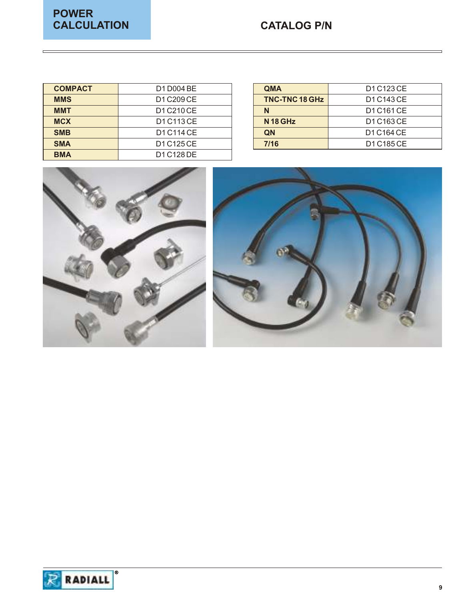## **CATALOG P/N**

| <b>COMPACT</b> | D1 D004 BE | <b>QMA</b>          | D1 C123 CE |
|----------------|------------|---------------------|------------|
| <b>MMS</b>     | D1 C209 CE | TNC-TNC 18 GHz      | D1 C143 CE |
| <b>MMT</b>     | D1 C210 CE | N                   | D1 C161 CE |
| <b>MCX</b>     | D1 C113 CE | N <sub>18</sub> GHz | D1 C163 CE |
| <b>SMB</b>     | D1 C114 CE | QN                  | D1 C164 CE |
| <b>SMA</b>     | D1 C125 CE | 7/16                | D1 C185 CE |
| <b>BMA</b>     | D1 C128 DE |                     |            |

| <b>QMA</b>            | D1 C123 CE |
|-----------------------|------------|
| <b>TNC-TNC 18 GHz</b> | D1 C143 CE |
| N                     | D1 C161 CE |
| <b>N18 GHz</b>        | D1 C163 CE |
| QN                    | D1 C164 CE |
| 7/16                  | D1 C185 CE |